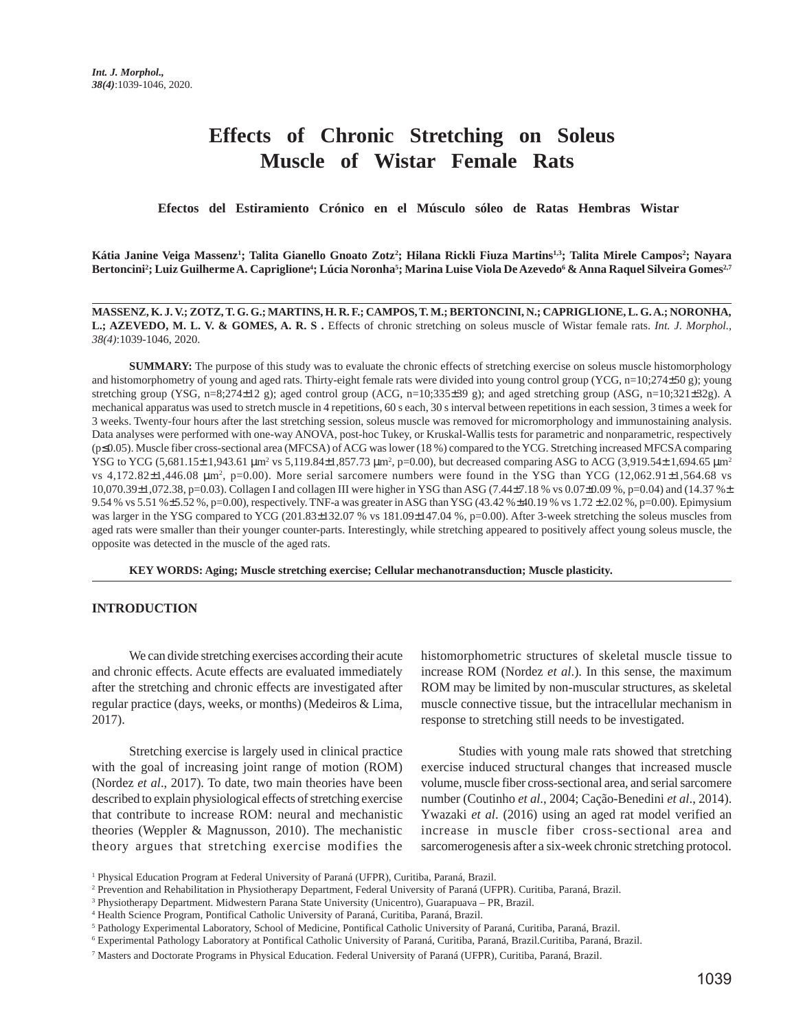# **Effects of Chronic Stretching on Soleus Muscle of Wistar Female Rats**

 **Efectos del Estiramiento Crónico en el Músculo sóleo de Ratas Hembras Wistar**

**Kátia Janine Veiga Massenz1 ; Talita Gianello Gnoato Zotz2 ; Hilana Rickli Fiuza Martins1,3; Talita Mirele Campos2 ; Nayara** Bertoncini<sup>2</sup>; Luiz Guilherme A. Capriglione<sup>4</sup>; Lúcia Noronha<sup>5</sup>; Marina Luise Viola De Azevedo<sup>6</sup> & Anna Raquel Silveira Gomes<sup>27</sup>

**MASSENZ, K. J. V.; ZOTZ, T. G. G.; MARTINS, H. R. F.; CAMPOS, T. M.; BERTONCINI, N.; CAPRIGLIONE, L. G. A.; NORONHA,** L.; AZEVEDO, M. L. V. & GOMES, A. R. S. Effects of chronic stretching on soleus muscle of Wistar female rats. *Int. J. Morphol.*, *38(4)*:1039-1046, 2020.

**SUMMARY:** The purpose of this study was to evaluate the chronic effects of stretching exercise on soleus muscle histomorphology and histomorphometry of young and aged rats. Thirty-eight female rats were divided into young control group (YCG, n=10;274±50 g); young stretching group (YSG, n=8;274±12 g); aged control group (ACG, n=10;335±39 g); and aged stretching group (ASG, n=10;321±32g). A mechanical apparatus was used to stretch muscle in 4 repetitions, 60 s each, 30 s interval between repetitions in each session, 3 times a week for 3 weeks. Twenty-four hours after the last stretching session, soleus muscle was removed for micromorphology and immunostaining analysis. Data analyses were performed with one-way ANOVA, post-hoc Tukey, or Kruskal-Wallis tests for parametric and nonparametric, respectively (p≤0.05). Muscle fiber cross-sectional area (MFCSA) of ACG was lower (18 %) compared to the YCG. Stretching increased MFCSA comparing YSG to YCG  $(5,681.15\pm1,943.61 \,\mu m^2 \text{ vs } 5,119.84\pm1,857.73 \,\mu m^2, p=0.00)$ , but decreased comparing ASG to ACG  $(3,919.54\pm1,694.65 \,\mu m^2, p=0.00)$ vs 4,172.82 $\pm$ 1,446.08  $\mu$ m<sup>2</sup>, p=0.00). More serial sarcomere numbers were found in the YSG than YCG (12,062.91 $\pm$ 1,564.68 vs 10,070.39±1,072.38, p=0.03). Collagen I and collagen III were higher in YSG than ASG (7.44±7.18 % vs 0.07±0.09 %, p=0.04) and (14.37 %± 9.54 % vs 5.51 %±5.52 %, p=0.00), respectively. TNF-a was greater in ASG than YSG (43.42 %±40.19 % vs 1.72 ± 2.02 %, p=0.00). Epimysium was larger in the YSG compared to YCG (201.83±132.07 % vs 181.09±147.04 %, p=0.00). After 3-week stretching the soleus muscles from aged rats were smaller than their younger counter-parts. Interestingly, while stretching appeared to positively affect young soleus muscle, the opposite was detected in the muscle of the aged rats.

**KEY WORDS: Aging; Muscle stretching exercise; Cellular mechanotransduction; Muscle plasticity.**

#### **INTRODUCTION**

We can divide stretching exercises according their acute and chronic effects. Acute effects are evaluated immediately after the stretching and chronic effects are investigated after regular practice (days, weeks, or months) (Medeiros & Lima, 2017).

Stretching exercise is largely used in clinical practice with the goal of increasing joint range of motion (ROM) (Nordez *et al*., 2017). To date, two main theories have been described to explain physiological effects of stretching exercise that contribute to increase ROM: neural and mechanistic theories (Weppler & Magnusson, 2010). The mechanistic theory argues that stretching exercise modifies the

histomorphometric structures of skeletal muscle tissue to increase ROM (Nordez *et al*.). In this sense, the maximum ROM may be limited by non-muscular structures, as skeletal muscle connective tissue, but the intracellular mechanism in response to stretching still needs to be investigated.

Studies with young male rats showed that stretching exercise induced structural changes that increased muscle volume, muscle fiber cross-sectional area, and serial sarcomere number (Coutinho *et al*., 2004; Cação-Benedini *et al*., 2014). Ywazaki *et al*. (2016) using an aged rat model verified an increase in muscle fiber cross-sectional area and sarcomerogenesis after a six-week chronic stretching protocol.

<sup>1</sup> Physical Education Program at Federal University of Paraná (UFPR), Curitiba, Paraná, Brazil.

<sup>2</sup> Prevention and Rehabilitation in Physiotherapy Department, Federal University of Paraná (UFPR). Curitiba, Paraná, Brazil.

<sup>3</sup> Physiotherapy Department. Midwestern Parana State University (Unicentro), Guarapuava – PR, Brazil.

<sup>4</sup> Health Science Program, Pontifical Catholic University of Paraná, Curitiba, Paraná, Brazil.

<sup>5</sup> Pathology Experimental Laboratory, School of Medicine, Pontifical Catholic University of Paraná, Curitiba, Paraná, Brazil.

<sup>6</sup> Experimental Pathology Laboratory at Pontifical Catholic University of Paraná, Curitiba, Paraná, Brazil.Curitiba, Paraná, Brazil.

<sup>7</sup> Masters and Doctorate Programs in Physical Education. Federal University of Paraná (UFPR), Curitiba, Paraná, Brazil.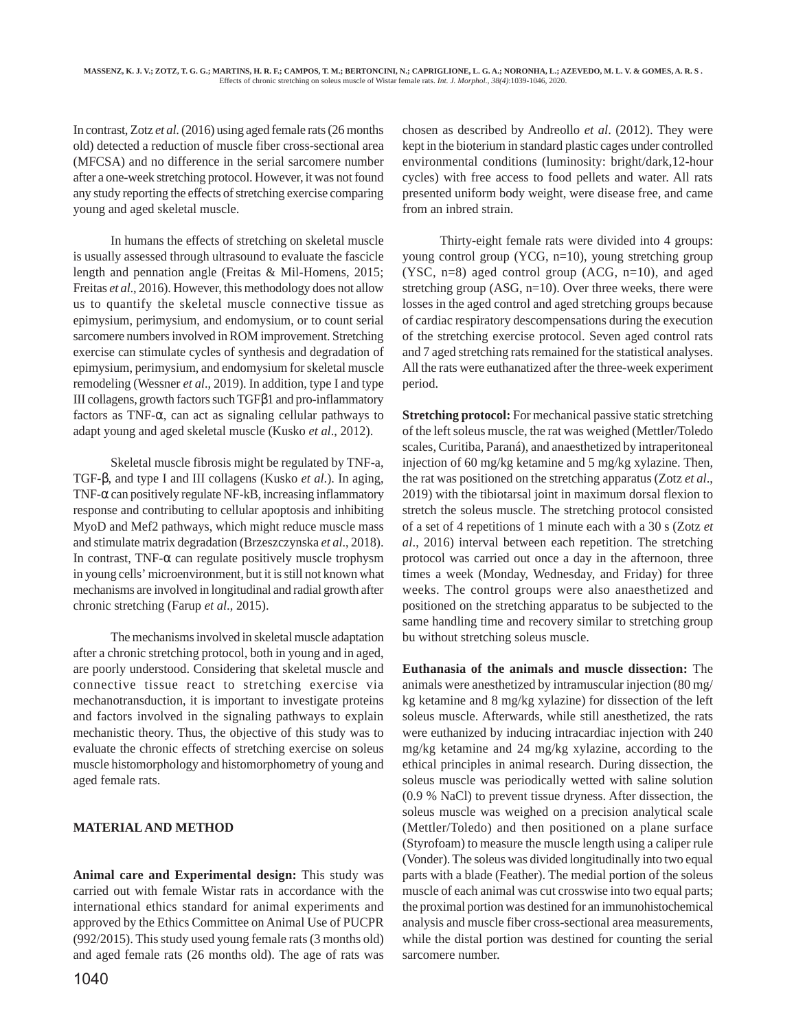In contrast, Zotz *et al*. (2016) using aged female rats (26 months old) detected a reduction of muscle fiber cross-sectional area (MFCSA) and no difference in the serial sarcomere number after a one-week stretching protocol. However, it was not found any study reporting the effects of stretching exercise comparing young and aged skeletal muscle.

In humans the effects of stretching on skeletal muscle is usually assessed through ultrasound to evaluate the fascicle length and pennation angle (Freitas & Mil-Homens, 2015; Freitas *et al*., 2016). However, this methodology does not allow us to quantify the skeletal muscle connective tissue as epimysium, perimysium, and endomysium, or to count serial sarcomere numbers involved in ROM improvement. Stretching exercise can stimulate cycles of synthesis and degradation of epimysium, perimysium, and endomysium for skeletal muscle remodeling (Wessner *et al*., 2019). In addition, type I and type III collagens, growth factors such TGFβ1 and pro-inflammatory factors as TNF- $\alpha$ , can act as signaling cellular pathways to adapt young and aged skeletal muscle (Kusko *et al*., 2012).

Skeletal muscle fibrosis might be regulated by TNF-a, TGF-β, and type I and III collagens (Kusko *et al*.). In aging, TNF- $\alpha$  can positively regulate NF-kB, increasing inflammatory response and contributing to cellular apoptosis and inhibiting MyoD and Mef2 pathways, which might reduce muscle mass and stimulate matrix degradation (Brzeszczynska *et al*., 2018). In contrast, TNF- $\alpha$  can regulate positively muscle trophysm in young cells' microenvironment, but it is still not known what mechanisms are involved in longitudinal and radial growth after chronic stretching (Farup *et al*., 2015).

The mechanisms involved in skeletal muscle adaptation after a chronic stretching protocol, both in young and in aged, are poorly understood. Considering that skeletal muscle and connective tissue react to stretching exercise via mechanotransduction, it is important to investigate proteins and factors involved in the signaling pathways to explain mechanistic theory. Thus, the objective of this study was to evaluate the chronic effects of stretching exercise on soleus muscle histomorphology and histomorphometry of young and aged female rats.

## **MATERIAL AND METHOD**

**Animal care and Experimental design:** This study was carried out with female Wistar rats in accordance with the international ethics standard for animal experiments and approved by the Ethics Committee on Animal Use of PUCPR (992/2015). This study used young female rats (3 months old) and aged female rats (26 months old). The age of rats was

1040

chosen as described by Andreollo *et al*. (2012). They were kept in the bioterium in standard plastic cages under controlled environmental conditions (luminosity: bright/dark,12-hour cycles) with free access to food pellets and water. All rats presented uniform body weight, were disease free, and came from an inbred strain.

Thirty-eight female rats were divided into 4 groups: young control group (YCG, n=10), young stretching group (YSC, n=8) aged control group (ACG, n=10), and aged stretching group (ASG, n=10). Over three weeks, there were losses in the aged control and aged stretching groups because of cardiac respiratory descompensations during the execution of the stretching exercise protocol. Seven aged control rats and 7 aged stretching rats remained for the statistical analyses. All the rats were euthanatized after the three-week experiment period.

**Stretching protocol:** For mechanical passive static stretching of the left soleus muscle, the rat was weighed (Mettler/Toledo scales, Curitiba, Paraná), and anaesthetized by intraperitoneal injection of 60 mg/kg ketamine and 5 mg/kg xylazine. Then, the rat was positioned on the stretching apparatus (Zotz *et al*., 2019) with the tibiotarsal joint in maximum dorsal flexion to stretch the soleus muscle. The stretching protocol consisted of a set of 4 repetitions of 1 minute each with a 30 s (Zotz *et al*., 2016) interval between each repetition. The stretching protocol was carried out once a day in the afternoon, three times a week (Monday, Wednesday, and Friday) for three weeks. The control groups were also anaesthetized and positioned on the stretching apparatus to be subjected to the same handling time and recovery similar to stretching group bu without stretching soleus muscle.

**Euthanasia of the animals and muscle dissection:** The animals were anesthetized by intramuscular injection (80 mg/ kg ketamine and 8 mg/kg xylazine) for dissection of the left soleus muscle. Afterwards, while still anesthetized, the rats were euthanized by inducing intracardiac injection with 240 mg/kg ketamine and 24 mg/kg xylazine, according to the ethical principles in animal research. During dissection, the soleus muscle was periodically wetted with saline solution (0.9 % NaCl) to prevent tissue dryness. After dissection, the soleus muscle was weighed on a precision analytical scale (Mettler/Toledo) and then positioned on a plane surface (Styrofoam) to measure the muscle length using a caliper rule (Vonder). The soleus was divided longitudinally into two equal parts with a blade (Feather). The medial portion of the soleus muscle of each animal was cut crosswise into two equal parts; the proximal portion was destined for an immunohistochemical analysis and muscle fiber cross-sectional area measurements, while the distal portion was destined for counting the serial sarcomere number.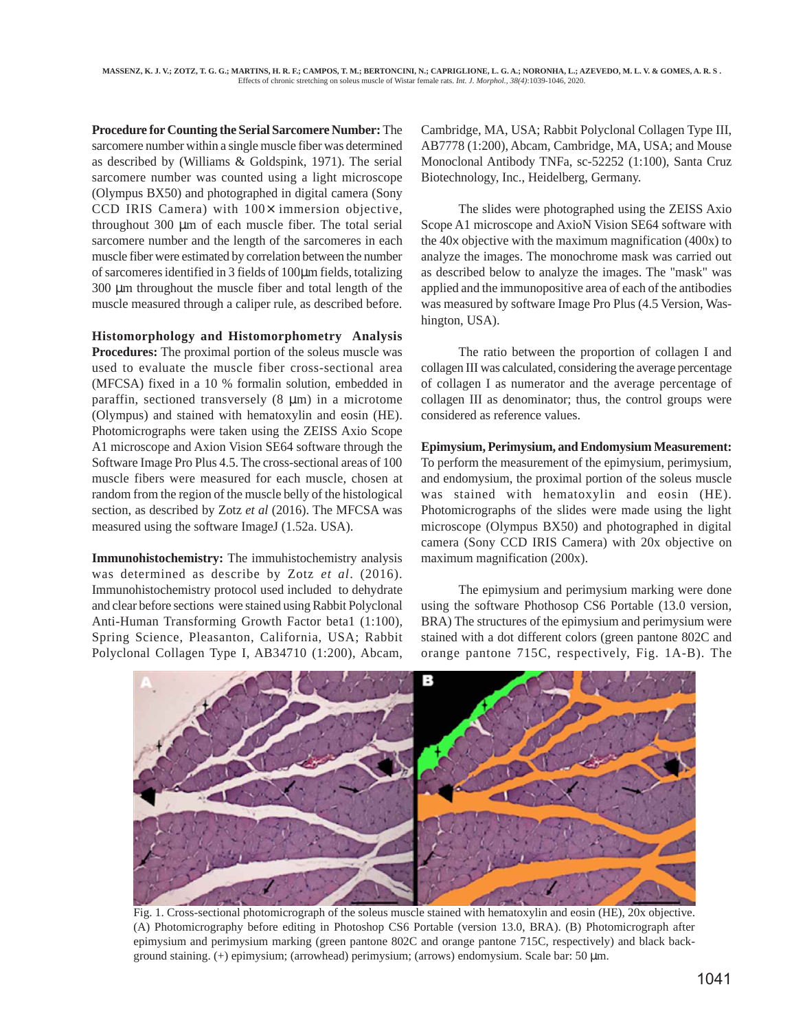**Procedure for Counting the Serial Sarcomere Number:** The sarcomere number within a single muscle fiber was determined as described by (Williams & Goldspink, 1971). The serial sarcomere number was counted using a light microscope (Olympus BX50) and photographed in digital camera (Sony CCD IRIS Camera) with  $100 \times$  immersion objective, throughout 300 µm of each muscle fiber. The total serial sarcomere number and the length of the sarcomeres in each muscle fiber were estimated by correlation between the number of sarcomeres identified in 3 fields of 100µm fields, totalizing 300 µm throughout the muscle fiber and total length of the muscle measured through a caliper rule, as described before.

**Histomorphology and Histomorphometry Analysis Procedures:** The proximal portion of the soleus muscle was used to evaluate the muscle fiber cross-sectional area (MFCSA) fixed in a 10 % formalin solution, embedded in paraffin, sectioned transversely  $(8 \mu m)$  in a microtome (Olympus) and stained with hematoxylin and eosin (HE). Photomicrographs were taken using the ZEISS Axio Scope A1 microscope and Axion Vision SE64 software through the Software Image Pro Plus 4.5. The cross-sectional areas of 100 muscle fibers were measured for each muscle, chosen at random from the region of the muscle belly of the histological section, as described by Zotz *et al* (2016). The MFCSA was measured using the software ImageJ (1.52a. USA).

**Immunohistochemistry:** The immuhistochemistry analysis was determined as describe by Zotz *et al*. (2016). Immunohistochemistry protocol used included to dehydrate and clear before sections were stained using Rabbit Polyclonal Anti-Human Transforming Growth Factor beta1 (1:100), Spring Science, Pleasanton, California, USA; Rabbit Polyclonal Collagen Type I, AB34710 (1:200), Abcam,

Cambridge, MA, USA; Rabbit Polyclonal Collagen Type III, AB7778 (1:200), Abcam, Cambridge, MA, USA; and Mouse Monoclonal Antibody TNFa, sc-52252 (1:100), Santa Cruz Biotechnology, Inc., Heidelberg, Germany.

The slides were photographed using the ZEISS Axio Scope A1 microscope and AxioN Vision SE64 software with the 40x objective with the maximum magnification (400x) to analyze the images. The monochrome mask was carried out as described below to analyze the images. The "mask" was applied and the immunopositive area of each of the antibodies was measured by software Image Pro Plus (4.5 Version, Washington, USA).

The ratio between the proportion of collagen I and collagen III was calculated, considering the average percentage of collagen I as numerator and the average percentage of collagen III as denominator; thus, the control groups were considered as reference values.

**Epimysium, Perimysium, and Endomysium Measurement:** To perform the measurement of the epimysium, perimysium, and endomysium, the proximal portion of the soleus muscle was stained with hematoxylin and eosin (HE). Photomicrographs of the slides were made using the light microscope (Olympus BX50) and photographed in digital camera (Sony CCD IRIS Camera) with 20x objective on maximum magnification (200x).

The epimysium and perimysium marking were done using the software Phothosop CS6 Portable (13.0 version, BRA) The structures of the epimysium and perimysium were stained with a dot different colors (green pantone 802C and orange pantone 715C, respectively, Fig. 1A-B). The



Fig. 1. Cross-sectional photomicrograph of the soleus muscle stained with hematoxylin and eosin (HE), 20x objective. (A) Photomicrography before editing in Photoshop CS6 Portable (version 13.0, BRA). (B) Photomicrograph after epimysium and perimysium marking (green pantone 802C and orange pantone 715C, respectively) and black background staining. (+) epimysium; (arrowhead) perimysium; (arrows) endomysium. Scale bar: 50 µm.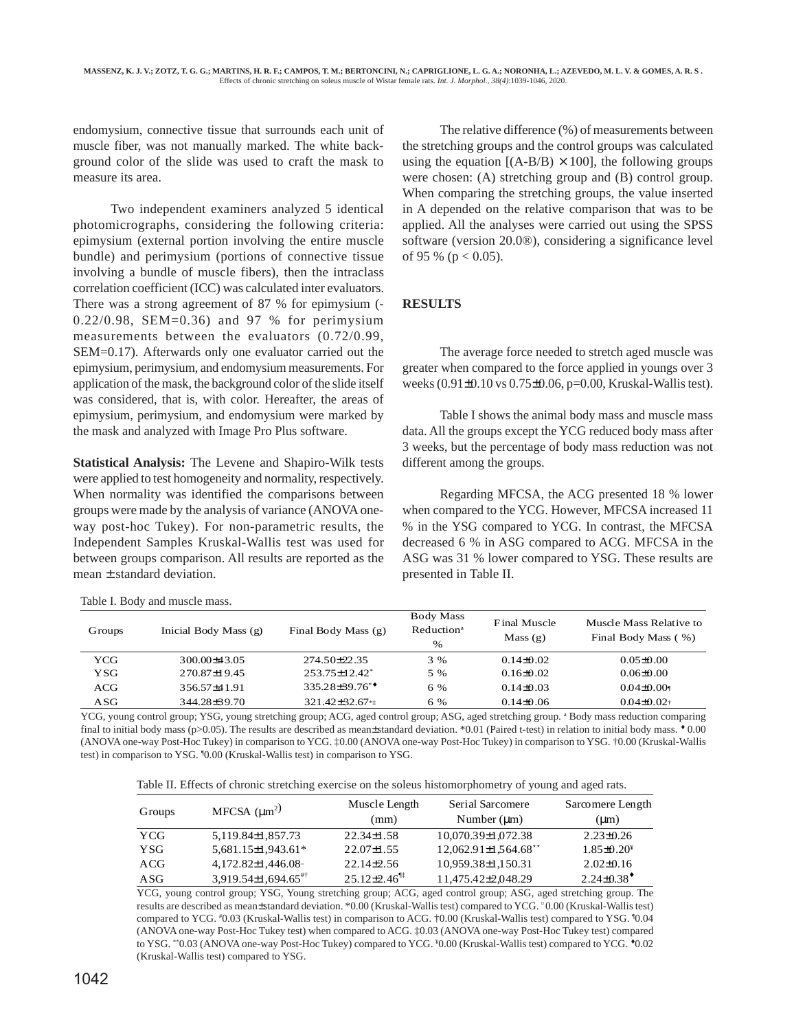endomysium, connective tissue that surrounds each unit of muscle fiber, was not manually marked. The white background color of the slide was used to craft the mask to measure its area.

Two independent examiners analyzed 5 identical photomicrographs, considering the following criteria: epimysium (external portion involving the entire muscle bundle) and perimysium (portions of connective tissue involving a bundle of muscle fibers), then the intraclass correlation coefficient (ICC) was calculated inter evaluators. There was a strong agreement of 87 % for epimysium (- 0.22/0.98, SEM=0.36) and 97 % for perimysium measurements between the evaluators (0.72/0.99, SEM=0.17). Afterwards only one evaluator carried out the epimysium, perimysium, and endomysium measurements. For application of the mask, the background color of the slide itself was considered, that is, with color. Hereafter, the areas of epimysium, perimysium, and endomysium were marked by the mask and analyzed with Image Pro Plus software.

**Statistical Analysis:** The Levene and Shapiro-Wilk tests were applied to test homogeneity and normality, respectively. When normality was identified the comparisons between groups were made by the analysis of variance (ANOVA oneway post-hoc Tukey). For non-parametric results, the Independent Samples Kruskal-Wallis test was used for between groups comparison. All results are reported as the mean ± standard deviation.

Table I. Body and muscle mass.

The relative difference (%) of measurements between the stretching groups and the control groups was calculated using the equation  $[(A-B/B) \times 100]$ , the following groups were chosen: (A) stretching group and (B) control group. When comparing the stretching groups, the value inserted in A depended on the relative comparison that was to be applied. All the analyses were carried out using the SPSS software (version 20.0®), considering a significance level of 95 % ( $p < 0.05$ ).

## **RESULTS**

The average force needed to stretch aged muscle was greater when compared to the force applied in youngs over 3 weeks (0.91±0.10 vs 0.75±0.06, p=0.00, Kruskal-Wallis test).

Table I shows the animal body mass and muscle mass data. All the groups except the YCG reduced body mass after 3 weeks, but the percentage of body mass reduction was not different among the groups.

Regarding MFCSA, the ACG presented 18 % lower when compared to the YCG. However, MFCSA increased 11 % in the YSG compared to YCG. In contrast, the MFCSA decreased 6 % in ASG compared to ACG. MFCSA in the ASG was 31 % lower compared to YSG. These results are presented in Table II.

| Inicial Body Mass (g) | Final Body Mass (g)           | <b>Body Mass</b><br>Reduction <sup>a</sup><br>$\%$ | Final Muscle<br>Mass $(g)$ | Muscle Mass Relative to<br>Final Body Mass (%) |  |  |  |
|-----------------------|-------------------------------|----------------------------------------------------|----------------------------|------------------------------------------------|--|--|--|
| 300.00+43.05          | $274.50\pm22.35$              | 3 %                                                | $0.14\pm0.02$              | $0.05 \pm 0.00$                                |  |  |  |
| 270.87 ± 19.45        | $253.75 \pm 12.42^*$          | 5 %                                                | $0.16\pm0.02$              | $0.06 \pm 0.00$                                |  |  |  |
| 356.57+41.91          | $335.28 + 39.76$ <sup>*</sup> | 6 %                                                | $0.14\pm0.03$              | $0.04\pm0.001$                                 |  |  |  |
| 344.28±39.70          | 321.42±32.67 <sup>**</sup>    | 6 %                                                | $0.14\pm0.06$              | $0.04\pm 0.02$                                 |  |  |  |
|                       |                               |                                                    |                            |                                                |  |  |  |

YCG, young control group; YSG, young stretching group; ACG, aged control group; ASG, aged stretching group. <sup>a</sup> Body mass reduction comparing final to initial body mass (p>0.05). The results are described as mean±standard deviation. \*0.01 (Paired t-test) in relation to initial body mass.  $\cdot$  0.00 (ANOVA one-way Post-Hoc Tukey) in comparison to YCG. ‡0.00 (ANOVA one-way Post-Hoc Tukey) in comparison to YSG. †0.00 (Kruskal-Wallis test) in comparison to YSG. ¶ 0.00 (Kruskal-Wallis test) in comparison to YSG.

| Table II. Effects of chronic stretching exercise on the soleus histomorphometry of young and aged rats. |  |  |
|---------------------------------------------------------------------------------------------------------|--|--|
|---------------------------------------------------------------------------------------------------------|--|--|

|            | MFCSA $(\mu m^2)$                   | Muscle Length                | Serial Sarcomere            | Sarcomere Length |  |  |
|------------|-------------------------------------|------------------------------|-----------------------------|------------------|--|--|
| Groups     |                                     | (mm)                         | Number $(\mu m)$            | $(\mu m)$        |  |  |
| <b>YCG</b> | 5.119.84±1.857.73                   | $22.34 \pm 1.58$             | 10.070.39±1.072.38          | $2.23 \pm 0.26$  |  |  |
| <b>YSG</b> | 5.681.15±1.943.61*                  | $22.07\pm1.55$               | $12.062.91 \pm 1.564.68$ ** | $1.85\pm0.20^*$  |  |  |
| ACG        | $4,172.82\pm1,446.08$               | $22.14 \pm 2.56$             | 10,959.38±1,150.31          | $2.02\pm0.16$    |  |  |
| ASG        | $3.919.54\pm1.694.65$ <sup>#†</sup> | $25.12\pm2.46$ <sup>11</sup> | 11.475.42±2.048.29          | $2.24\pm0.38^*$  |  |  |

YCG, young control group; YSG, Young stretching group; ACG, aged control group; ASG, aged stretching group. The results are described as mean±standard deviation. \*0.00 (Kruskal-Wallis test) compared to YCG. ¤ 0.00 (Kruskal-Wallis test) compared to YCG. #0.03 (Kruskal-Wallis test) in comparison to ACG. †0.00 (Kruskal-Wallis test) compared to YSG. 10.04 (ANOVA one-way Post-Hoc Tukey test) when compared to ACG. ‡0.03 (ANOVA one-way Post-Hoc Tukey test) compared to YSG. \*\*0.03 (ANOVA one-way Post-Hoc Tukey) compared to YCG. ¥ 0.00 (Kruskal-Wallis test) compared to YCG. ♦0.02 (Kruskal-Wallis test) compared to YSG.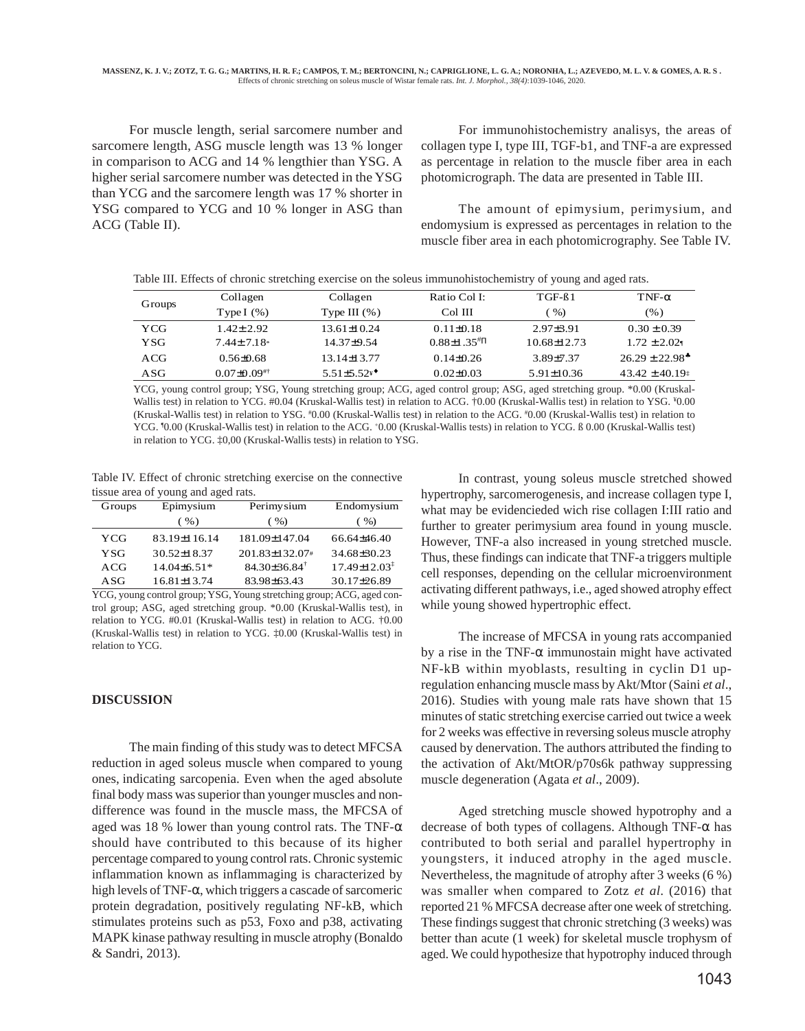For muscle length, serial sarcomere number and sarcomere length, ASG muscle length was 13 % longer in comparison to ACG and 14 % lengthier than YSG. A higher serial sarcomere number was detected in the YSG than YCG and the sarcomere length was 17 % shorter in YSG compared to YCG and 10 % longer in ASG than ACG (Table II).

For immunohistochemistry analisys, the areas of collagen type I, type III, TGF-b1, and TNF-a are expressed as percentage in relation to the muscle fiber area in each photomicrograph. The data are presented in Table III.

The amount of epimysium, perimysium, and endomysium is expressed as percentages in relation to the muscle fiber area in each photomicrography. See Table IV.

| Table III. Effects of chronic stretching exercise on the soleus immunohistochemistry of young and aged rats. |  |  |  |  |  |  |  |
|--------------------------------------------------------------------------------------------------------------|--|--|--|--|--|--|--|
|                                                                                                              |  |  |  |  |  |  |  |

| Groups | Collagen           | Collagen           | Ratio Col I:                   | $TGF-61$         | $TNF-\alpha$        |
|--------|--------------------|--------------------|--------------------------------|------------------|---------------------|
|        | Type I $(\%)$      | Type III $(\% )$   | Col III                        | $\%$ )           | (% )                |
| YCG    | $1.42 \pm 2.92$    | $13.61 \pm 10.24$  | $0.11 \pm 0.18$                | $2.97 + 3.91$    | $0.30 \pm 0.39$     |
| YSG    | $7.44 \pm 7.18$    | $14.37\pm9.54$     | $0.88 \pm 1.35 \times 10^{-4}$ | 10.68±12.73      | $1.72 \pm 2.021$    |
| ACG    | $0.56 \pm 0.68$    | $13.14 \pm 13.77$  | $0.14\pm0.26$                  | 3.89 + 7.37      | $26.29 \pm 22.98^*$ |
| ASG    | $0.07 \pm 0.09$ #† | $5.51 \pm 5.52$ ** | $0.02 \pm 0.03$                | $5.91 \pm 10.36$ | $43.42 \pm 40.19$   |

YCG, young control group; YSG, Young stretching group; ACG, aged control group; ASG, aged stretching group. \*0.00 (Kruskal-Wallis test) in relation to YCG. #0.04 (Kruskal-Wallis test) in relation to ACG. †0.00 (Kruskal-Wallis test) in relation to YSG.  $*0.00$ (Kruskal-Wallis test) in relation to YSG. #0.00 (Kruskal-Wallis test) in relation to the ACG. #0.00 (Kruskal-Wallis test) in relation to YCG. <sup>1</sup>0.00 (Kruskal-Wallis test) in relation to the ACG. <sup>+</sup>0.00 (Kruskal-Wallis tests) in relation to YCG. B 0.00 (Kruskal-Wallis test) in relation to YCG. ‡0,00 (Kruskal-Wallis tests) in relation to YSG.

Table IV. Effect of chronic stretching exercise on the connective tissue area of young and aged rats.

| Groups | Epimysium         | Perimysium                   | Endomysium                     |  |  |
|--------|-------------------|------------------------------|--------------------------------|--|--|
|        | $($ %)            | ( %)                         | $($ %)                         |  |  |
| YCG    | 83.19±116.14      | 181.09±147.04                | 66.64±46.40                    |  |  |
| YSG    | $30.52 \pm 18.37$ | 201.83±132.07#               | 34.68±30.23                    |  |  |
| ACG    | $14.04\pm 6.51*$  | $84.30\pm36.84$ <sup>†</sup> | $17.49 \pm 12.03$ <sup>*</sup> |  |  |
| ASG    | $16.81 \pm 13.74$ | 83.98±63.43                  | 30.17±26.89                    |  |  |

YCG, young control group; YSG, Young stretching group; ACG, aged control group; ASG, aged stretching group. \*0.00 (Kruskal-Wallis test), in relation to YCG. #0.01 (Kruskal-Wallis test) in relation to ACG. †0.00 (Kruskal-Wallis test) in relation to YCG. ‡0.00 (Kruskal-Wallis test) in relation to YCG.

## **DISCUSSION**

The main finding of this study was to detect MFCSA reduction in aged soleus muscle when compared to young ones, indicating sarcopenia. Even when the aged absolute final body mass was superior than younger muscles and nondifference was found in the muscle mass, the MFCSA of aged was 18 % lower than young control rats. The TNF-α should have contributed to this because of its higher percentage compared to young control rats. Chronic systemic inflammation known as inflammaging is characterized by high levels of TNF-α, which triggers a cascade of sarcomeric protein degradation, positively regulating NF-kB, which stimulates proteins such as p53, Foxo and p38, activating MAPK kinase pathway resulting in muscle atrophy (Bonaldo & Sandri, 2013).

In contrast, young soleus muscle stretched showed hypertrophy, sarcomerogenesis, and increase collagen type I, what may be evidencieded wich rise collagen I:III ratio and further to greater perimysium area found in young muscle. However, TNF-a also increased in young stretched muscle. Thus, these findings can indicate that TNF-a triggers multiple cell responses, depending on the cellular microenvironment activating different pathways, i.e., aged showed atrophy effect while young showed hypertrophic effect.

The increase of MFCSA in young rats accompanied by a rise in the TNF- $\alpha$  immunostain might have activated NF-kB within myoblasts, resulting in cyclin D1 upregulation enhancing muscle mass by Akt/Mtor (Saini *et al*., 2016). Studies with young male rats have shown that 15 minutes of static stretching exercise carried out twice a week for 2 weeks was effective in reversing soleus muscle atrophy caused by denervation. The authors attributed the finding to the activation of Akt/MtOR/p70s6k pathway suppressing muscle degeneration (Agata *et al*., 2009).

Aged stretching muscle showed hypotrophy and a decrease of both types of collagens. Although TNF- $\alpha$  has contributed to both serial and parallel hypertrophy in youngsters, it induced atrophy in the aged muscle. Nevertheless, the magnitude of atrophy after 3 weeks (6 %) was smaller when compared to Zotz *et al*. (2016) that reported 21 % MFCSA decrease after one week of stretching. These findings suggest that chronic stretching (3 weeks) was better than acute (1 week) for skeletal muscle trophysm of aged. We could hypothesize that hypotrophy induced through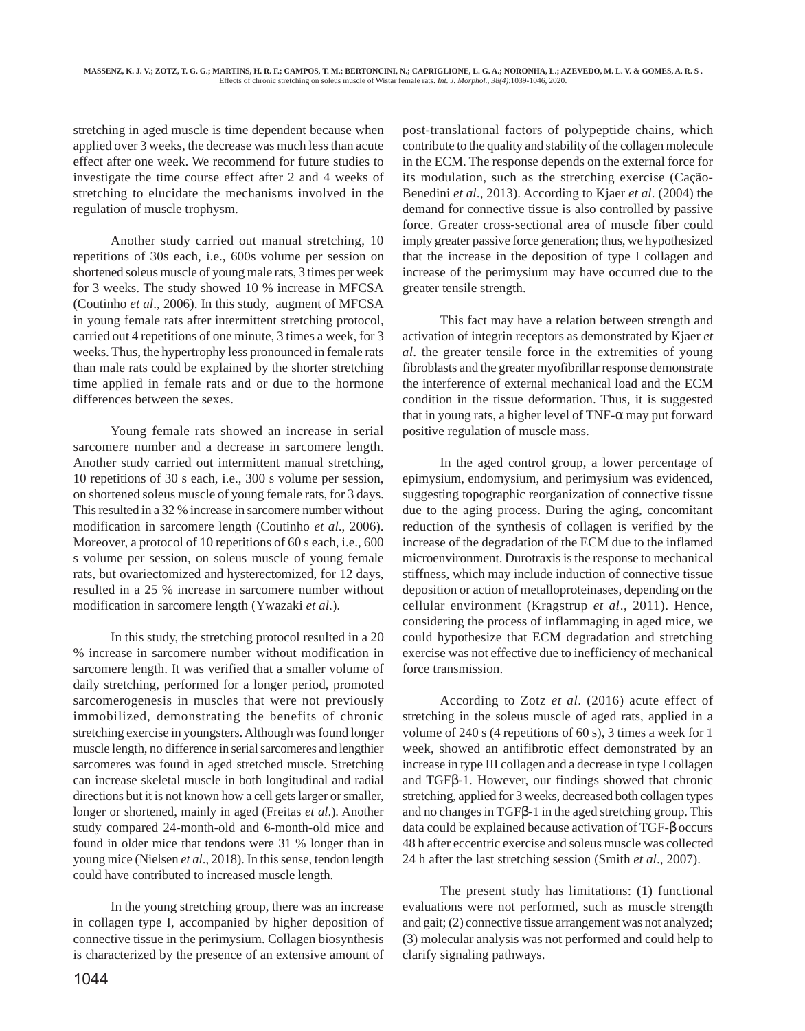stretching in aged muscle is time dependent because when applied over 3 weeks, the decrease was much less than acute effect after one week. We recommend for future studies to investigate the time course effect after 2 and 4 weeks of stretching to elucidate the mechanisms involved in the regulation of muscle trophysm.

Another study carried out manual stretching, 10 repetitions of 30s each, i.e., 600s volume per session on shortened soleus muscle of young male rats, 3 times per week for 3 weeks. The study showed 10 % increase in MFCSA (Coutinho *et al*., 2006). In this study, augment of MFCSA in young female rats after intermittent stretching protocol, carried out 4 repetitions of one minute, 3 times a week, for 3 weeks. Thus, the hypertrophy less pronounced in female rats than male rats could be explained by the shorter stretching time applied in female rats and or due to the hormone differences between the sexes.

Young female rats showed an increase in serial sarcomere number and a decrease in sarcomere length. Another study carried out intermittent manual stretching, 10 repetitions of 30 s each, i.e., 300 s volume per session, on shortened soleus muscle of young female rats, for 3 days. This resulted in a 32 % increase in sarcomere number without modification in sarcomere length (Coutinho *et al*., 2006). Moreover, a protocol of 10 repetitions of 60 s each, i.e., 600 s volume per session, on soleus muscle of young female rats, but ovariectomized and hysterectomized, for 12 days, resulted in a 25 % increase in sarcomere number without modification in sarcomere length (Ywazaki *et al*.).

In this study, the stretching protocol resulted in a 20 % increase in sarcomere number without modification in sarcomere length. It was verified that a smaller volume of daily stretching, performed for a longer period, promoted sarcomerogenesis in muscles that were not previously immobilized, demonstrating the benefits of chronic stretching exercise in youngsters. Although was found longer muscle length, no difference in serial sarcomeres and lengthier sarcomeres was found in aged stretched muscle. Stretching can increase skeletal muscle in both longitudinal and radial directions but it is not known how a cell gets larger or smaller, longer or shortened, mainly in aged (Freitas *et al*.). Another study compared 24-month-old and 6-month-old mice and found in older mice that tendons were 31 % longer than in young mice (Nielsen *et al*., 2018). In this sense, tendon length could have contributed to increased muscle length.

In the young stretching group, there was an increase in collagen type I, accompanied by higher deposition of connective tissue in the perimysium. Collagen biosynthesis is characterized by the presence of an extensive amount of

1044

post-translational factors of polypeptide chains, which contribute to the quality and stability of the collagen molecule in the ECM. The response depends on the external force for its modulation, such as the stretching exercise (Cação-Benedini *et al*., 2013). According to Kjaer *et al*. (2004) the demand for connective tissue is also controlled by passive force. Greater cross-sectional area of muscle fiber could imply greater passive force generation; thus, we hypothesized that the increase in the deposition of type I collagen and increase of the perimysium may have occurred due to the greater tensile strength.

This fact may have a relation between strength and activation of integrin receptors as demonstrated by Kjaer *et al*. the greater tensile force in the extremities of young fibroblasts and the greater myofibrillar response demonstrate the interference of external mechanical load and the ECM condition in the tissue deformation. Thus, it is suggested that in young rats, a higher level of  $TNF-\alpha$  may put forward positive regulation of muscle mass.

In the aged control group, a lower percentage of epimysium, endomysium, and perimysium was evidenced, suggesting topographic reorganization of connective tissue due to the aging process. During the aging, concomitant reduction of the synthesis of collagen is verified by the increase of the degradation of the ECM due to the inflamed microenvironment. Durotraxis is the response to mechanical stiffness, which may include induction of connective tissue deposition or action of metalloproteinases, depending on the cellular environment (Kragstrup *et al*., 2011). Hence, considering the process of inflammaging in aged mice, we could hypothesize that ECM degradation and stretching exercise was not effective due to inefficiency of mechanical force transmission.

According to Zotz *et al*. (2016) acute effect of stretching in the soleus muscle of aged rats, applied in a volume of 240 s (4 repetitions of 60 s), 3 times a week for 1 week, showed an antifibrotic effect demonstrated by an increase in type III collagen and a decrease in type I collagen and TGFβ-1. However, our findings showed that chronic stretching, applied for 3 weeks, decreased both collagen types and no changes in TGFβ-1 in the aged stretching group. This data could be explained because activation of TGF-β occurs 48 h after eccentric exercise and soleus muscle was collected 24 h after the last stretching session (Smith *et al*., 2007).

The present study has limitations: (1) functional evaluations were not performed, such as muscle strength and gait; (2) connective tissue arrangement was not analyzed; (3) molecular analysis was not performed and could help to clarify signaling pathways.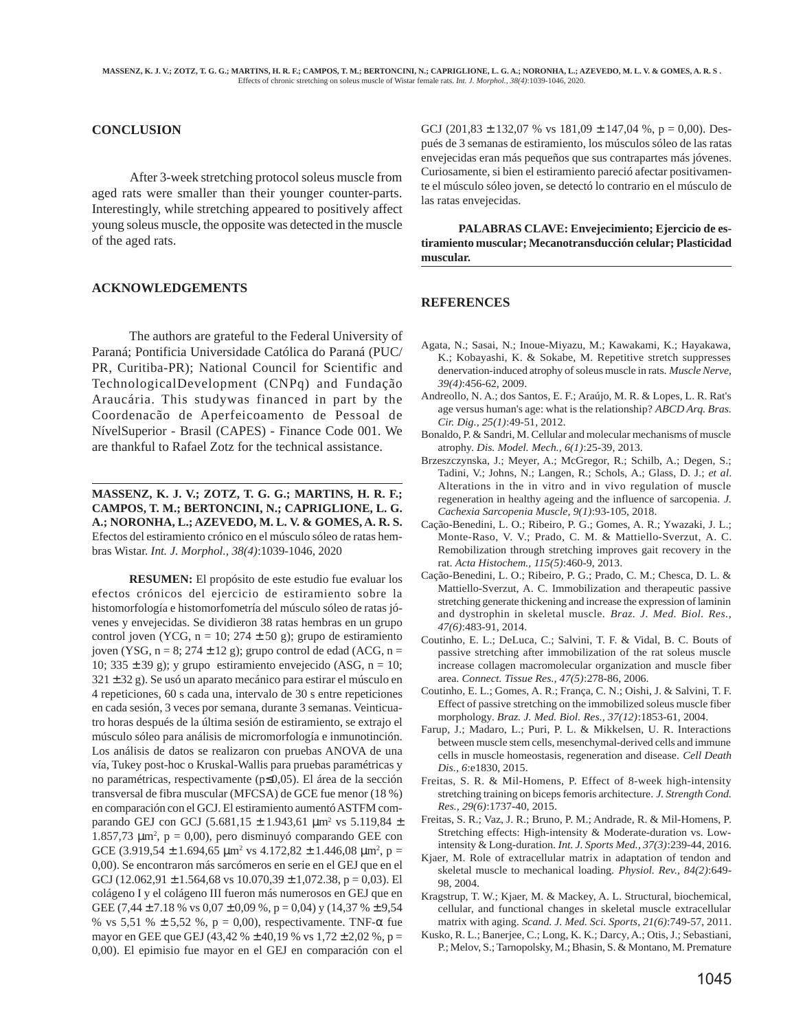## **CONCLUSION**

 After 3-week stretching protocol soleus muscle from aged rats were smaller than their younger counter-parts. Interestingly, while stretching appeared to positively affect young soleus muscle, the opposite was detected in the muscle of the aged rats.

### **ACKNOWLEDGEMENTS**

The authors are grateful to the Federal University of Paraná; Pontificia Universidade Católica do Paraná (PUC/ PR, Curitiba-PR); National Council for Scientific and TechnologicalDevelopment (CNPq) and Fundação Araucária. This studywas financed in part by the Coordenacão de Aperfeicoamento de Pessoal de NívelSuperior - Brasil (CAPES) - Finance Code 001. We are thankful to Rafael Zotz for the technical assistance.

**MASSENZ, K. J. V.; ZOTZ, T. G. G.; MARTINS, H. R. F.; CAMPOS, T. M.; BERTONCINI, N.; CAPRIGLIONE, L. G. A.; NORONHA, L.; AZEVEDO, M. L. V. & GOMES, A. R. S.** Efectos del estiramiento crónico en el músculo sóleo de ratas hembras Wistar. *Int. J. Morphol., 38(4)*:1039-1046, 2020

**RESUMEN:** El propósito de este estudio fue evaluar los efectos crónicos del ejercicio de estiramiento sobre la histomorfología e histomorfometría del músculo sóleo de ratas jóvenes y envejecidas. Se dividieron 38 ratas hembras en un grupo control joven (YCG,  $n = 10$ ; 274  $\pm$  50 g); grupo de estiramiento joven (YSG,  $n = 8$ ; 274  $\pm$  12 g); grupo control de edad (ACG,  $n =$ 10;  $335 \pm 39$  g); y grupo estiramiento envejecido (ASG, n = 10; 321 ± 32 g). Se usó un aparato mecánico para estirar el músculo en 4 repeticiones, 60 s cada una, intervalo de 30 s entre repeticiones en cada sesión, 3 veces por semana, durante 3 semanas. Veinticuatro horas después de la última sesión de estiramiento, se extrajo el músculo sóleo para análisis de micromorfología e inmunotinción. Los análisis de datos se realizaron con pruebas ANOVA de una vía, Tukey post-hoc o Kruskal-Wallis para pruebas paramétricas y no paramétricas, respectivamente (p≤0,05). El área de la sección transversal de fibra muscular (MFCSA) de GCE fue menor (18 %) en comparación con el GCJ. El estiramiento aumentó ASTFM comparando GEJ con GCJ (5.681,15 ± 1.943,61 µm2 vs 5.119,84 ± 1.857,73  $\mu$ m<sup>2</sup>, p = 0,00), pero disminuyó comparando GEE con GCE  $(3.919,54 \pm 1.694,65 \mu m^2 \text{ vs } 4.172,82 \pm 1.446,08 \mu m^2, p =$ 0,00). Se encontraron más sarcómeros en serie en el GEJ que en el GCJ (12.062,91  $\pm$  1.564,68 vs 10.070,39  $\pm$  1,072.38, p = 0,03). El colágeno I y el colágeno III fueron más numerosos en GEJ que en GEE (7,44  $\pm$  7.18 % vs 0,07  $\pm$  0,09 %, p = 0,04) y (14,37 %  $\pm$  9,54 % vs 5,51 %  $\pm$  5,52 %, p = 0,00), respectivamente. TNF- $\alpha$  fue mayor en GEE que GEJ (43,42 %  $\pm$  40,19 % vs 1,72  $\pm$  2,02 %, p = 0,00). El epimisio fue mayor en el GEJ en comparación con el GCJ (201,83  $\pm$  132,07 % vs 181,09  $\pm$  147,04 %, p = 0,00). Después de 3 semanas de estiramiento, los músculos sóleo de las ratas envejecidas eran más pequeños que sus contrapartes más jóvenes. Curiosamente, si bien el estiramiento pareció afectar positivamente el músculo sóleo joven, se detectó lo contrario en el músculo de las ratas envejecidas.

**PALABRAS CLAVE: Envejecimiento; Ejercicio de estiramiento muscular; Mecanotransducción celular; Plasticidad muscular.**

#### **REFERENCES**

- Agata, N.; Sasai, N.; Inoue-Miyazu, M.; Kawakami, K.; Hayakawa, K.; Kobayashi, K. & Sokabe, M. Repetitive stretch suppresses denervation-induced atrophy of soleus muscle in rats. *Muscle Nerve, 39(4)*:456-62, 2009.
- Andreollo, N. A.; dos Santos, E. F.; Araújo, M. R. & Lopes, L. R. Rat's age versus human's age: what is the relationship? *ABCD Arq. Bras. Cir. Dig., 25(1)*:49-51, 2012.
- Bonaldo, P. & Sandri, M. Cellular and molecular mechanisms of muscle atrophy. *Dis. Model. Mech., 6(1)*:25-39, 2013.
- Brzeszczynska, J.; Meyer, A.; McGregor, R.; Schilb, A.; Degen, S.; Tadini, V.; Johns, N.; Langen, R.; Schols, A.; Glass, D. J.; *et al*. Alterations in the in vitro and in vivo regulation of muscle regeneration in healthy ageing and the influence of sarcopenia. *J. Cachexia Sarcopenia Muscle, 9(1)*:93-105, 2018.
- Cação-Benedini, L. O.; Ribeiro, P. G.; Gomes, A. R.; Ywazaki, J. L.; Monte-Raso, V. V.; Prado, C. M. & Mattiello-Sverzut, A. C. Remobilization through stretching improves gait recovery in the rat. *Acta Histochem., 115(5)*:460-9, 2013.
- Cação-Benedini, L. O.; Ribeiro, P. G.; Prado, C. M.; Chesca, D. L. & Mattiello-Sverzut, A. C. Immobilization and therapeutic passive stretching generate thickening and increase the expression of laminin and dystrophin in skeletal muscle. *Braz. J. Med. Biol. Res., 47(6)*:483-91, 2014.
- Coutinho, E. L.; DeLuca, C.; Salvini, T. F. & Vidal, B. C. Bouts of passive stretching after immobilization of the rat soleus muscle increase collagen macromolecular organization and muscle fiber area. *Connect. Tissue Res., 47(5)*:278-86, 2006.
- Coutinho, E. L.; Gomes, A. R.; França, C. N.; Oishi, J. & Salvini, T. F. Effect of passive stretching on the immobilized soleus muscle fiber morphology. *Braz. J. Med. Biol. Res., 37(12)*:1853-61, 2004.
- Farup, J.; Madaro, L.; Puri, P. L. & Mikkelsen, U. R. Interactions between muscle stem cells, mesenchymal-derived cells and immune cells in muscle homeostasis, regeneration and disease. *Cell Death Dis., 6*:e1830, 2015.
- Freitas, S. R. & Mil-Homens, P. Effect of 8-week high-intensity stretching training on biceps femoris architecture. *J. Strength Cond. Res., 29(6)*:1737-40, 2015.
- Freitas, S. R.; Vaz, J. R.; Bruno, P. M.; Andrade, R. & Mil-Homens, P. Stretching effects: High-intensity & Moderate-duration vs. Lowintensity & Long-duration. *Int. J. Sports Med., 37(3)*:239-44, 2016.
- Kjaer, M. Role of extracellular matrix in adaptation of tendon and skeletal muscle to mechanical loading. *Physiol. Rev., 84(2)*:649- 98, 2004.
- Kragstrup, T. W.; Kjaer, M. & Mackey, A. L. Structural, biochemical, cellular, and functional changes in skeletal muscle extracellular matrix with aging. *Scand. J. Med. Sci. Sports, 21(6)*:749-57, 2011.
- Kusko, R. L.; Banerjee, C.; Long, K. K.; Darcy, A.; Otis, J.; Sebastiani, P.; Melov, S.; Tarnopolsky, M.; Bhasin, S. & Montano, M. Premature